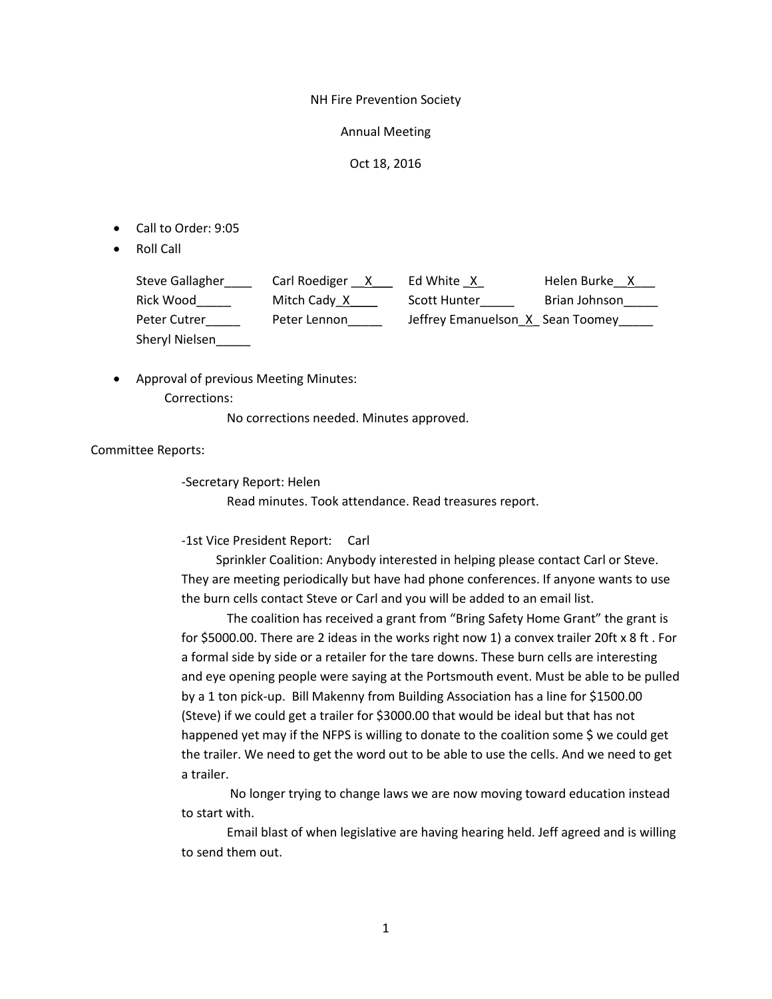NH Fire Prevention Society

Annual Meeting

Oct 18, 2016

- Call to Order: 9:05
- Roll Call

| <b>Steve Gallagher</b> | Carl Roediger<br>$\mathsf{X}$ | Ed White X                        | Helen Burke X |
|------------------------|-------------------------------|-----------------------------------|---------------|
| Rick Wood              | Mitch Cady X                  | Scott Hunter                      | Brian Johnson |
| Peter Cutrer           | Peter Lennon                  | Jeffrey Emanuelson_X_Sean Toomey_ |               |
| Sheryl Nielsen         |                               |                                   |               |

• Approval of previous Meeting Minutes: Corrections:

No corrections needed. Minutes approved.

Committee Reports:

-Secretary Report: Helen

Read minutes. Took attendance. Read treasures report.

-1st Vice President Report: Carl

 Sprinkler Coalition: Anybody interested in helping please contact Carl or Steve. They are meeting periodically but have had phone conferences. If anyone wants to use the burn cells contact Steve or Carl and you will be added to an email list.

The coalition has received a grant from "Bring Safety Home Grant" the grant is for \$5000.00. There are 2 ideas in the works right now 1) a convex trailer 20ft x 8 ft . For a formal side by side or a retailer for the tare downs. These burn cells are interesting and eye opening people were saying at the Portsmouth event. Must be able to be pulled by a 1 ton pick-up. Bill Makenny from Building Association has a line for \$1500.00 (Steve) if we could get a trailer for \$3000.00 that would be ideal but that has not happened yet may if the NFPS is willing to donate to the coalition some \$ we could get the trailer. We need to get the word out to be able to use the cells. And we need to get a trailer.

No longer trying to change laws we are now moving toward education instead to start with.

Email blast of when legislative are having hearing held. Jeff agreed and is willing to send them out.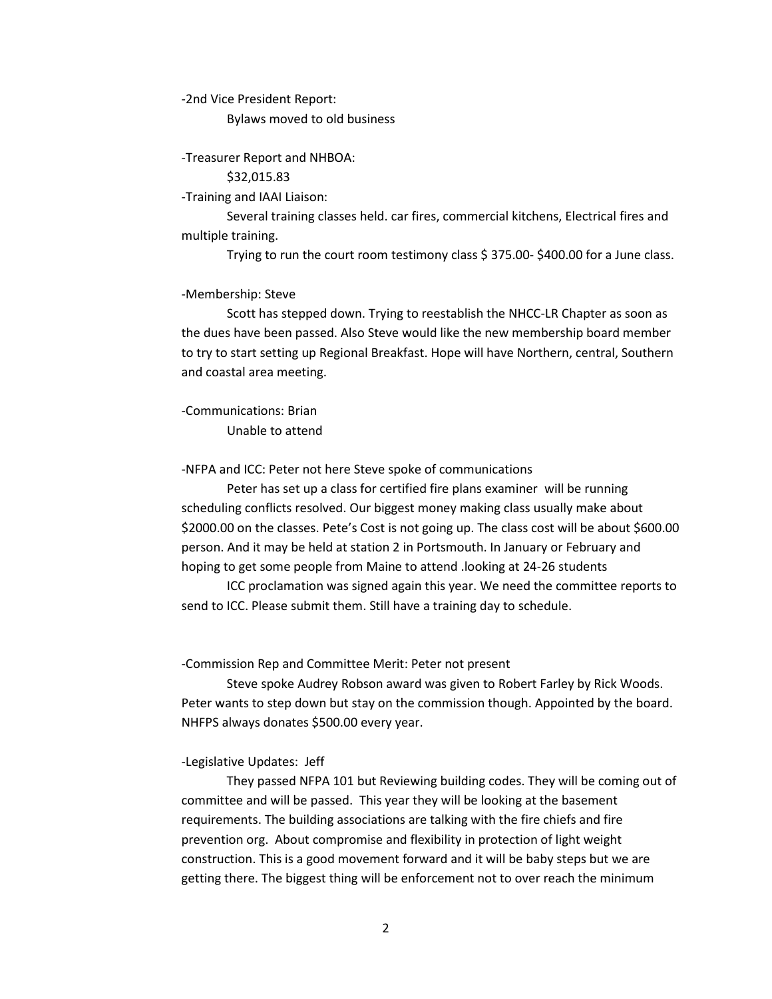-2nd Vice President Report:

Bylaws moved to old business

-Treasurer Report and NHBOA:

\$32,015.83

-Training and IAAI Liaison:

Several training classes held. car fires, commercial kitchens, Electrical fires and multiple training.

Trying to run the court room testimony class \$ 375.00- \$400.00 for a June class.

-Membership: Steve

Scott has stepped down. Trying to reestablish the NHCC-LR Chapter as soon as the dues have been passed. Also Steve would like the new membership board member to try to start setting up Regional Breakfast. Hope will have Northern, central, Southern and coastal area meeting.

-Communications: Brian Unable to attend

-NFPA and ICC: Peter not here Steve spoke of communications

Peter has set up a class for certified fire plans examiner will be running scheduling conflicts resolved. Our biggest money making class usually make about \$2000.00 on the classes. Pete's Cost is not going up. The class cost will be about \$600.00 person. And it may be held at station 2 in Portsmouth. In January or February and hoping to get some people from Maine to attend .looking at 24-26 students

ICC proclamation was signed again this year. We need the committee reports to send to ICC. Please submit them. Still have a training day to schedule.

-Commission Rep and Committee Merit: Peter not present

Steve spoke Audrey Robson award was given to Robert Farley by Rick Woods. Peter wants to step down but stay on the commission though. Appointed by the board. NHFPS always donates \$500.00 every year.

-Legislative Updates: Jeff

They passed NFPA 101 but Reviewing building codes. They will be coming out of committee and will be passed. This year they will be looking at the basement requirements. The building associations are talking with the fire chiefs and fire prevention org. About compromise and flexibility in protection of light weight construction. This is a good movement forward and it will be baby steps but we are getting there. The biggest thing will be enforcement not to over reach the minimum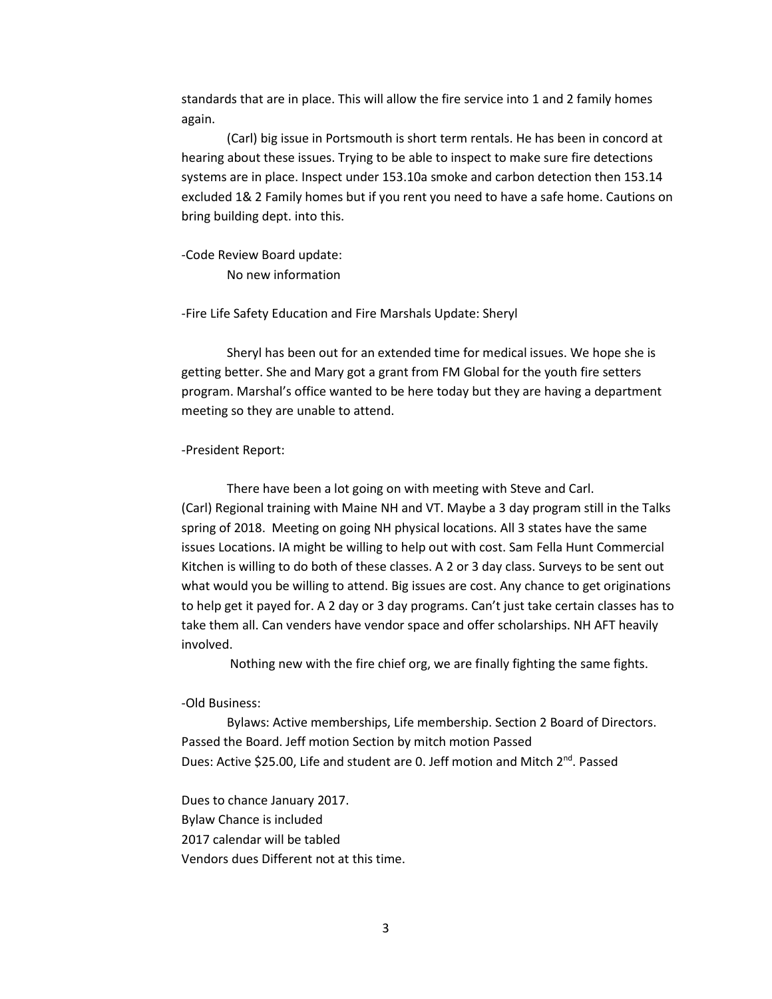standards that are in place. This will allow the fire service into 1 and 2 family homes again.

(Carl) big issue in Portsmouth is short term rentals. He has been in concord at hearing about these issues. Trying to be able to inspect to make sure fire detections systems are in place. Inspect under 153.10a smoke and carbon detection then 153.14 excluded 1& 2 Family homes but if you rent you need to have a safe home. Cautions on bring building dept. into this.

-Code Review Board update: No new information

-Fire Life Safety Education and Fire Marshals Update: Sheryl

Sheryl has been out for an extended time for medical issues. We hope she is getting better. She and Mary got a grant from FM Global for the youth fire setters program. Marshal's office wanted to be here today but they are having a department meeting so they are unable to attend.

-President Report:

There have been a lot going on with meeting with Steve and Carl. (Carl) Regional training with Maine NH and VT. Maybe a 3 day program still in the Talks spring of 2018. Meeting on going NH physical locations. All 3 states have the same issues Locations. IA might be willing to help out with cost. Sam Fella Hunt Commercial Kitchen is willing to do both of these classes. A 2 or 3 day class. Surveys to be sent out what would you be willing to attend. Big issues are cost. Any chance to get originations to help get it payed for. A 2 day or 3 day programs. Can't just take certain classes has to take them all. Can venders have vendor space and offer scholarships. NH AFT heavily involved.

Nothing new with the fire chief org, we are finally fighting the same fights.

-Old Business:

Bylaws: Active memberships, Life membership. Section 2 Board of Directors. Passed the Board. Jeff motion Section by mitch motion Passed Dues: Active \$25.00, Life and student are 0. Jeff motion and Mitch 2<sup>nd</sup>. Passed

Dues to chance January 2017. Bylaw Chance is included 2017 calendar will be tabled Vendors dues Different not at this time.